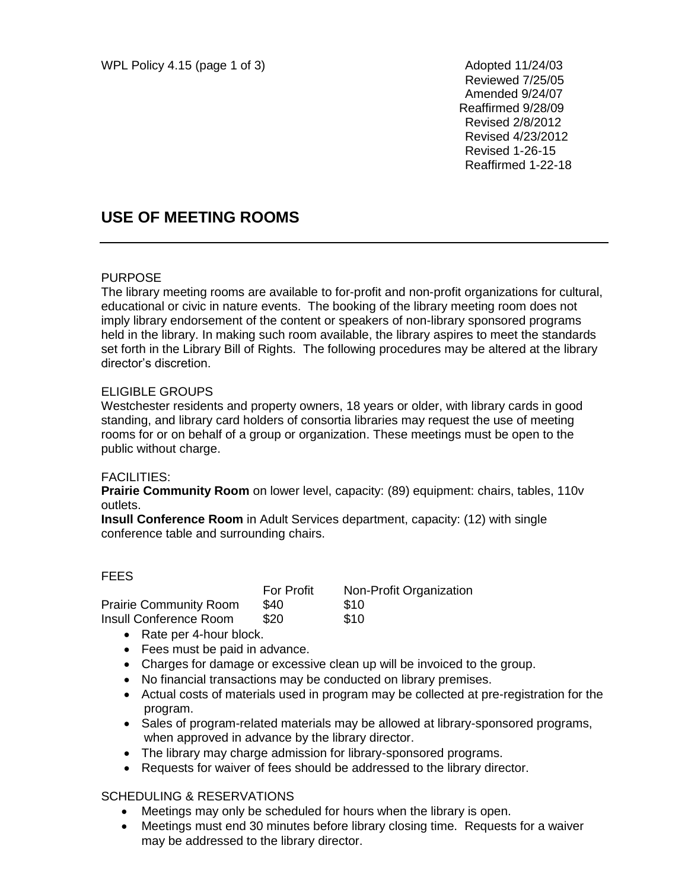Reviewed 7/25/05 Amended 9/24/07 Reaffirmed 9/28/09 Revised 2/8/2012 Revised 4/23/2012 Revised 1-26-15 Reaffirmed 1-22-18

# **USE OF MEETING ROOMS**

### PURPOSE

The library meeting rooms are available to for-profit and non-profit organizations for cultural, educational or civic in nature events. The booking of the library meeting room does not imply library endorsement of the content or speakers of non-library sponsored programs held in the library. In making such room available, the library aspires to meet the standards set forth in the Library Bill of Rights. The following procedures may be altered at the library director's discretion.

#### ELIGIBLE GROUPS

Westchester residents and property owners, 18 years or older, with library cards in good standing, and library card holders of consortia libraries may request the use of meeting rooms for or on behalf of a group or organization. These meetings must be open to the public without charge.

### FACILITIES:

**Prairie Community Room** on lower level, capacity: (89) equipment: chairs, tables, 110v outlets.

**Insull Conference Room** in Adult Services department, capacity: (12) with single conference table and surrounding chairs.

#### FEES

|                               | <b>For Profit</b> | Non-Profit Organization |
|-------------------------------|-------------------|-------------------------|
| <b>Prairie Community Room</b> | \$40              | \$10                    |
| Insull Conference Room        | \$20              | \$10                    |

- Rate per 4-hour block.
- Fees must be paid in advance.
- Charges for damage or excessive clean up will be invoiced to the group.
- No financial transactions may be conducted on library premises.
- Actual costs of materials used in program may be collected at pre-registration for the program.
- Sales of program-related materials may be allowed at library-sponsored programs, when approved in advance by the library director.
- The library may charge admission for library-sponsored programs.
- Requests for waiver of fees should be addressed to the library director.

### SCHEDULING & RESERVATIONS

- Meetings may only be scheduled for hours when the library is open.
- Meetings must end 30 minutes before library closing time. Requests for a waiver may be addressed to the library director.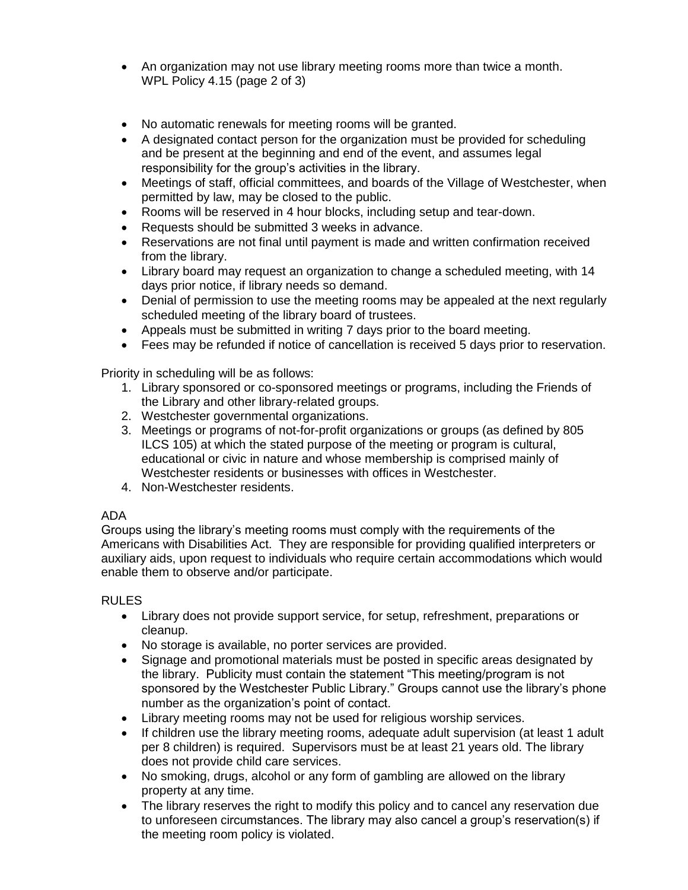- An organization may not use library meeting rooms more than twice a month. WPL Policy 4.15 (page 2 of 3)
- No automatic renewals for meeting rooms will be granted.
- A designated contact person for the organization must be provided for scheduling and be present at the beginning and end of the event, and assumes legal responsibility for the group's activities in the library.
- Meetings of staff, official committees, and boards of the Village of Westchester, when permitted by law, may be closed to the public.
- Rooms will be reserved in 4 hour blocks, including setup and tear-down.
- Requests should be submitted 3 weeks in advance.
- Reservations are not final until payment is made and written confirmation received from the library.
- Library board may request an organization to change a scheduled meeting, with 14 days prior notice, if library needs so demand.
- Denial of permission to use the meeting rooms may be appealed at the next regularly scheduled meeting of the library board of trustees.
- Appeals must be submitted in writing 7 days prior to the board meeting.
- Fees may be refunded if notice of cancellation is received 5 days prior to reservation.

Priority in scheduling will be as follows:

- 1. Library sponsored or co-sponsored meetings or programs, including the Friends of the Library and other library-related groups.
- 2. Westchester governmental organizations.
- 3. Meetings or programs of not-for-profit organizations or groups (as defined by 805 ILCS 105) at which the stated purpose of the meeting or program is cultural, educational or civic in nature and whose membership is comprised mainly of Westchester residents or businesses with offices in Westchester.
- 4. Non-Westchester residents.

### ADA

Groups using the library's meeting rooms must comply with the requirements of the Americans with Disabilities Act. They are responsible for providing qualified interpreters or auxiliary aids, upon request to individuals who require certain accommodations which would enable them to observe and/or participate.

### RULES

- Library does not provide support service, for setup, refreshment, preparations or cleanup.
- No storage is available, no porter services are provided.
- Signage and promotional materials must be posted in specific areas designated by the library. Publicity must contain the statement "This meeting/program is not sponsored by the Westchester Public Library." Groups cannot use the library's phone number as the organization's point of contact.
- Library meeting rooms may not be used for religious worship services.
- If children use the library meeting rooms, adequate adult supervision (at least 1 adult per 8 children) is required. Supervisors must be at least 21 years old. The library does not provide child care services.
- No smoking, drugs, alcohol or any form of gambling are allowed on the library property at any time.
- The library reserves the right to modify this policy and to cancel any reservation due to unforeseen circumstances. The library may also cancel a group's reservation(s) if the meeting room policy is violated.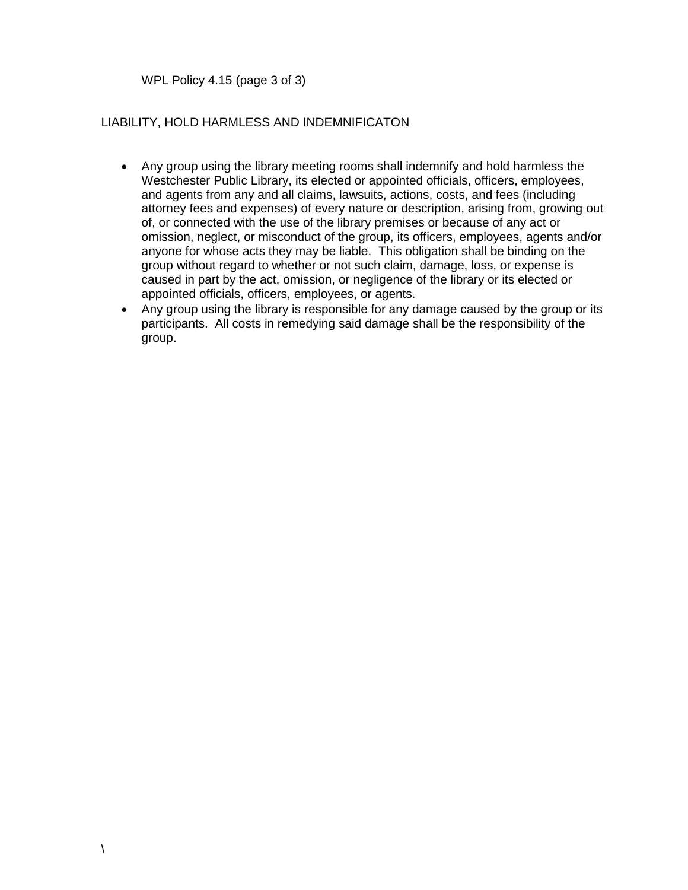WPL Policy 4.15 (page 3 of 3)

### LIABILITY, HOLD HARMLESS AND INDEMNIFICATON

- Any group using the library meeting rooms shall indemnify and hold harmless the Westchester Public Library, its elected or appointed officials, officers, employees, and agents from any and all claims, lawsuits, actions, costs, and fees (including attorney fees and expenses) of every nature or description, arising from, growing out of, or connected with the use of the library premises or because of any act or omission, neglect, or misconduct of the group, its officers, employees, agents and/or anyone for whose acts they may be liable. This obligation shall be binding on the group without regard to whether or not such claim, damage, loss, or expense is caused in part by the act, omission, or negligence of the library or its elected or appointed officials, officers, employees, or agents.
- Any group using the library is responsible for any damage caused by the group or its participants. All costs in remedying said damage shall be the responsibility of the group.